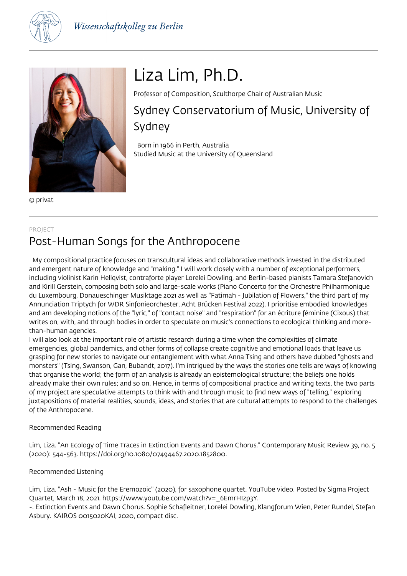



© privat

# Liza Lim, Ph.D.

Professor of Composition, Sculthorpe Chair of Australian Music

Sydney Conservatorium of Music, University of Sydney

 Born in 1966 in Perth, Australia Studied Music at the University of Queensland

#### PROJECT

# Post-Human Songs for the Anthropocene

 My compositional practice focuses on transcultural ideas and collaborative methods invested in the distributed and emergent nature of knowledge and "making." I will work closely with a number of exceptional performers, including violinist Karin Hellqvist, contraforte player Lorelei Dowling, and Berlin-based pianists Tamara Stefanovich and Kirill Gerstein, composing both solo and large-scale works (Piano Concerto for the Orchestre Philharmonique du Luxembourg, Donaueschinger Musiktage 2021 as well as "Fatimah - Jubilation of Flowers," the third part of my Annunciation Triptych for WDR Sinfonieorchester, Acht Brücken Festival 2022). I prioritise embodied knowledges and am developing notions of the "lyric," of "contact noise" and "respiration" for an écriture féminine (Cixous) that writes on, with, and through bodies in order to speculate on music's connections to ecological thinking and morethan-human agencies.

I will also look at the important role of artistic research during a time when the complexities of climate emergencies, global pandemics, and other forms of collapse create cognitive and emotional loads that leave us grasping for new stories to navigate our entanglement with what Anna Tsing and others have dubbed "ghosts and monsters" (Tsing, Swanson, Gan, Bubandt, 2017). I'm intrigued by the ways the stories one tells are ways of knowing that organise the world; the form of an analysis is already an epistemological structure; the beliefs one holds already make their own rules; and so on. Hence, in terms of compositional practice and writing texts, the two parts of my project are speculative attempts to think with and through music to find new ways of "telling," exploring juxtapositions of material realities, sounds, ideas, and stories that are cultural attempts to respond to the challenges of the Anthropocene.

## Recommended Reading

Lim, Liza. "An Ecology of Time Traces in Extinction Events and Dawn Chorus." Contemporary Music Review 39, no. 5 (2020): 544-563. https://doi.org/10.1080/07494467.2020.1852800.

## Recommended Listening

Lim, Liza. "Ash - Music for the Eremozoic" (2020), for saxophone quartet. YouTube video. Posted by Sigma Project Quartet, March 18, 2021. https://www.youtube.com/watch?v= 6EmrHIzp3Y.

-. Extinction Events and Dawn Chorus. Sophie Schafleitner, Lorelei Dowling, Klangforum Wien, Peter Rundel, Stefan Asbury. KAIROS 0015020KAI, 2020, compact disc.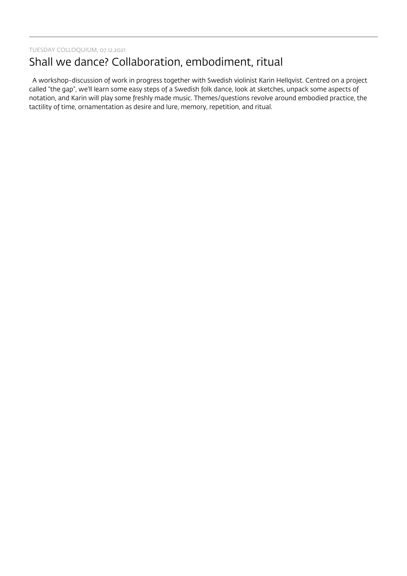TUESDAY COLLOQUIUM, 07.12.2021

# Shall we dance? Collaboration, embodiment, ritual

 A workshop-discussion of work in progress together with Swedish violinist Karin Hellqvist. Centred on a project called "the gap", we'll learn some easy steps of a Swedish folk dance, look at sketches, unpack some aspects of notation, and Karin will play some freshly made music. Themes/questions revolve around embodied practice, the tactility of time, ornamentation as desire and lure, memory, repetition, and ritual.